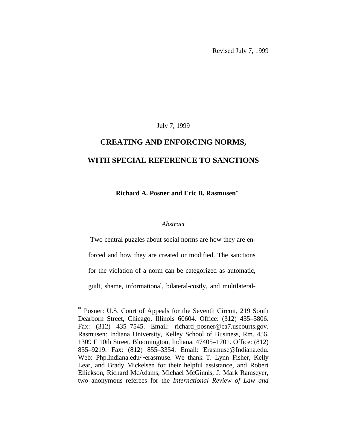Revised July 7, 1999

### July 7, 1999

# **CREATING AND ENFORCING NORMS, WITH SPECIAL REFERENCE TO SANCTIONS**

 **Richard A. Posner and Eric B. Rasmusen**\*

## *Abstract*

Two central puzzles about social norms are how they are en-

forced and how they are created or modified. The sanctions

for the violation of a norm can be categorized as automatic,

guilt, shame, informational, bilateral-costly, and multilateral-

<sup>\*</sup> Posner: U.S. Court of Appeals for the Seventh Circuit, 219 South Dearborn Street, Chicago, Illinois 60604. Office: (312) 435–5806. Fax: (312) 435-7545. Email: richard\_posner@ca7.uscourts.gov. Rasmusen: Indiana University, Kelley School of Business, Rm. 456, 1309 E 10th Street, Bloomington, Indiana, 47405–1701. Office: (812) 855–9219. Fax: (812) 855–3354. Email: Erasmuse@Indiana.edu. Web: Php.Indiana.edu/~erasmuse. We thank T. Lynn Fisher, Kelly Lear, and Brady Mickelsen for their helpful assistance, and Robert Ellickson, Richard McAdams, Michael McGinnis, J. Mark Ramseyer, two anonymous referees for the *International Review of Law and*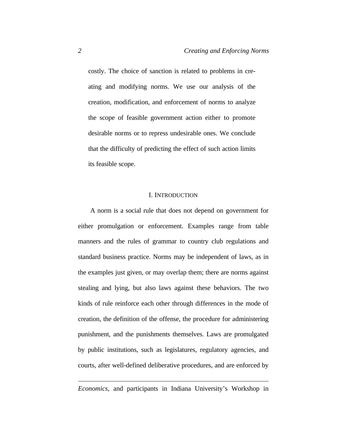costly. The choice of sanction is related to problems in creating and modifying norms. We use our analysis of the creation, modification, and enforcement of norms to analyze the scope of feasible government action either to promote desirable norms or to repress undesirable ones. We conclude that the difficulty of predicting the effect of such action limits its feasible scope.

#### I. INTRODUCTION

A norm is a social rule that does not depend on government for either promulgation or enforcement. Examples range from table manners and the rules of grammar to country club regulations and standard business practice. Norms may be independent of laws, as in the examples just given, or may overlap them; there are norms against stealing and lying, but also laws against these behaviors. The two kinds of rule reinforce each other through differences in the mode of creation, the definition of the offense, the procedure for administering punishment, and the punishments themselves. Laws are promulgated by public institutions, such as legislatures, regulatory agencies, and courts, after well-defined deliberative procedures, and are enforced by

*Economics*, and participants in Indiana University's Workshop in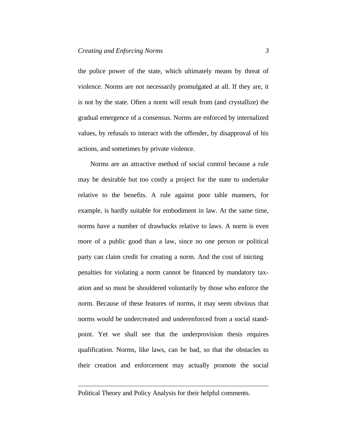the police power of the state, which ultimately means by threat of violence. Norms are not necessarily promulgated at all. If they are, it is not by the state. Often a norm will result from (and crystallize) the gradual emergence of a consensus. Norms are enforced by internalized values, by refusals to interact with the offender, by disapproval of his actions, and sometimes by private violence.

Norms are an attractive method of social control because a rule may be desirable but too costly a project for the state to undertake relative to the benefits. A rule against poor table manners, for example, is hardly suitable for embodiment in law. At the same time, norms have a number of drawbacks relative to laws. A norm is even more of a public good than a law, since no one person or political party can claim credit for creating a norm. And the cost of inicting penalties for violating a norm cannot be financed by mandatory taxation and so must be shouldered voluntarily by those who enforce the norm. Because of these features of norms, it may seem obvious that norms would be undercreated and underenforced from a social standpoint. Yet we shall see that the underprovision thesis requires qualification. Norms, like laws, can be bad, so that the obstacles to their creation and enforcement may actually promote the social

Political Theory and Policy Analysis for their helpful comments.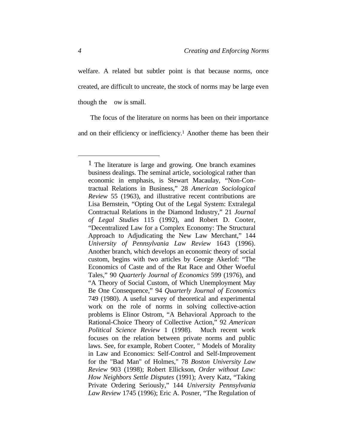welfare. A related but subtler point is that because norms, once created, are difficult to uncreate, the stock of norms may be large even though the ow is small.

The focus of the literature on norms has been on their importance and on their efficiency or inefficiency.<sup>1</sup> Another theme has been their

<sup>1</sup> The literature is large and growing. One branch examines business dealings. The seminal article, sociological rather than economic in emphasis, is Stewart Macaulay, "Non-Contractual Relations in Business," 28 *American Sociological Review* 55 (1963), and illustrative recent contributions are Lisa Bernstein, "Opting Out of the Legal System: Extralegal Contractual Relations in the Diamond Industry," 21 *Journal of Legal Studies* 115 (1992), and Robert D. Cooter, "Decentralized Law for a Complex Economy: The Structural Approach to Adjudicating the New Law Merchant," 144 *University of Pennsylvania Law Review* 1643 (1996). Another branch, which develops an economic theory of social custom, begins with two articles by George Akerlof: "The Economics of Caste and of the Rat Race and Other Woeful Tales," 90 *Quarterly Journal of Economics* 599 (1976), and "A Theory of Social Custom, of Which Unemployment May Be One Consequence," 94 *Quarterly Journal of Economics* 749 (1980). A useful survey of theoretical and experimental work on the role of norms in solving collective-action problems is Elinor Ostrom, "A Behavioral Approach to the Rational-Choice Theory of Collective Action," 92 *American Political Science Review* 1 (1998). Much recent work focuses on the relation between private norms and public laws. See, for example, Robert Cooter, " Models of Morality in Law and Economics: Self-Control and Self-Improvement for the "Bad Man" of Holmes," 78 *Boston University Law Review* 903 (1998); Robert Ellickson, *Order without Law: How Neighbors Settle Disputes* (1991); Avery Katz, "Taking Private Ordering Seriously," 144 *University Pennsylvania Law Review* 1745 (1996); Eric A. Posner, "The Regulation of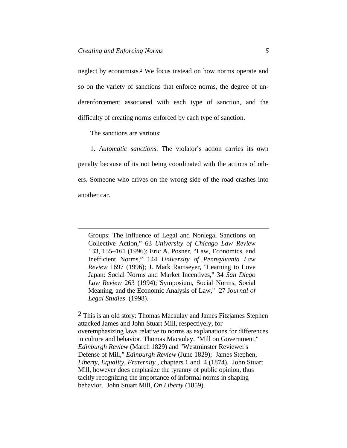neglect by economists.<sup>2</sup> We focus instead on how norms operate and so on the variety of sanctions that enforce norms, the degree of underenforcement associated with each type of sanction, and the difficulty of creating norms enforced by each type of sanction.

The sanctions are various:

 $\overline{a}$ 

1. *Automatic sanctions*. The violator's action carries its own penalty because of its not being coordinated with the actions of others. Someone who drives on the wrong side of the road crashes into another car.

Groups: The Influence of Legal and Nonlegal Sanctions on Collective Action," 63 *University of Chicago Law Review* 133, 155–161 (1996); Eric A. Posner, "Law, Economics, and Inefficient Norms," 144 *University of Pennsylvania Law Review* 1697 (1996); J. Mark Ramseyer, "Learning to Love Japan: Social Norms and Market Incentives," 34 *San Diego Law Review* 263 (1994);"Symposium, Social Norms, Social Meaning, and the Economic Analysis of Law," 27 J*ournal of Legal Studies* (1998).

<sup>2</sup> This is an old story: Thomas Macaulay and James Fitzjames Stephen attacked James and John Stuart Mill, respectively, for overemphasizing laws relative to norms as explanations for differences in culture and behavior. Thomas Macaulay, "Mill on Government," *Edinburgh Review* (March 1829) and "Westminster Reviewer's Defense of Mill," *Edinburgh Review* (June 1829); James Stephen, *Liberty, Equality, Fraternity* , chapters 1 and 4 (1874). John Stuart Mill, however does emphasize the tyranny of public opinion, thus tacitly recognizing the importance of informal norms in shaping behavior. John Stuart Mill, *On Liberty* (1859)*.*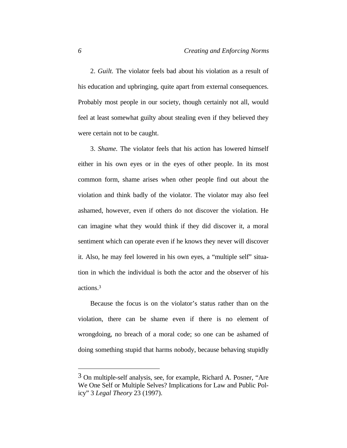2. *Guilt.* The violator feels bad about his violation as a result of his education and upbringing, quite apart from external consequences. Probably most people in our society, though certainly not all, would feel at least somewhat guilty about stealing even if they believed they were certain not to be caught.

3. *Shame.* The violator feels that his action has lowered himself either in his own eyes or in the eyes of other people. In its most common form, shame arises when other people find out about the violation and think badly of the violator. The violator may also feel ashamed, however, even if others do not discover the violation. He can imagine what they would think if they did discover it, a moral sentiment which can operate even if he knows they never will discover it. Also, he may feel lowered in his own eyes, a "multiple self" situation in which the individual is both the actor and the observer of his actions.<sup>3</sup>

Because the focus is on the violator's status rather than on the violation, there can be shame even if there is no element of wrongdoing, no breach of a moral code; so one can be ashamed of doing something stupid that harms nobody, because behaving stupidly

<sup>3</sup> On multiple-self analysis, see, for example, Richard A. Posner, "Are We One Self or Multiple Selves? Implications for Law and Public Policy" 3 *Legal Theory* 23 (1997).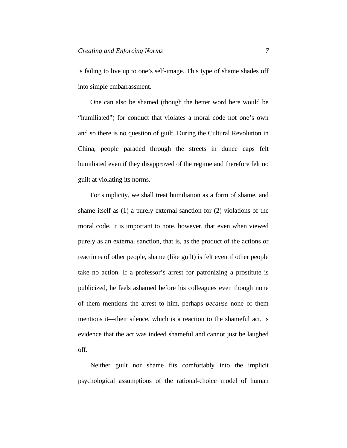is failing to live up to one's self-image. This type of shame shades off into simple embarrassment.

One can also be shamed (though the better word here would be "humiliated") for conduct that violates a moral code not one's own and so there is no question of guilt. During the Cultural Revolution in China, people paraded through the streets in dunce caps felt humiliated even if they disapproved of the regime and therefore felt no guilt at violating its norms.

For simplicity, we shall treat humiliation as a form of shame, and shame itself as (1) a purely external sanction for (2) violations of the moral code. It is important to note, however, that even when viewed purely as an external sanction, that is, as the product of the actions or reactions of other people, shame (like guilt) is felt even if other people take no action. If a professor's arrest for patronizing a prostitute is publicized, he feels ashamed before his colleagues even though none of them mentions the arrest to him, perhaps *because* none of them mentions it—their silence, which is a reaction to the shameful act, is evidence that the act was indeed shameful and cannot just be laughed off.

Neither guilt nor shame fits comfortably into the implicit psychological assumptions of the rational-choice model of human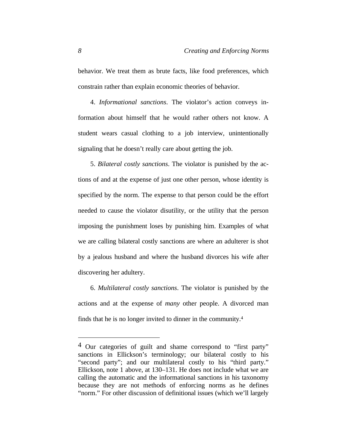behavior. We treat them as brute facts, like food preferences, which constrain rather than explain economic theories of behavior.

4. *Informational sanctions*. The violator's action conveys information about himself that he would rather others not know. A student wears casual clothing to a job interview, unintentionally signaling that he doesn't really care about getting the job.

5. *Bilateral costly sanctions*. The violator is punished by the actions of and at the expense of just one other person, whose identity is specified by the norm. The expense to that person could be the effort needed to cause the violator disutility, or the utility that the person imposing the punishment loses by punishing him. Examples of what we are calling bilateral costly sanctions are where an adulterer is shot by a jealous husband and where the husband divorces his wife after discovering her adultery.

6. *Multilateral costly sanctions*. The violator is punished by the actions and at the expense of *many* other people. A divorced man finds that he is no longer invited to dinner in the community.<sup>4</sup>

<sup>4</sup> Our categories of guilt and shame correspond to "first party" sanctions in Ellickson's terminology; our bilateral costly to his "second party"; and our multilateral costly to his "third party." Ellickson, note 1 above, at 130–131. He does not include what we are calling the automatic and the informational sanctions in his taxonomy because they are not methods of enforcing norms as he defines "norm." For other discussion of definitional issues (which we'll largely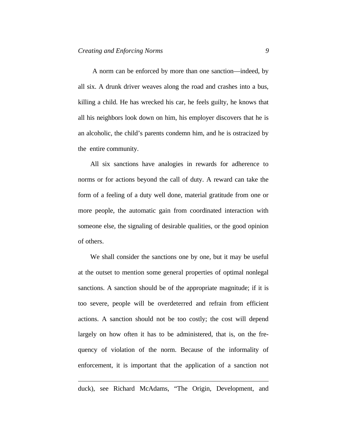A norm can be enforced by more than one sanction—indeed, by all six. A drunk driver weaves along the road and crashes into a bus, killing a child. He has wrecked his car, he feels guilty, he knows that all his neighbors look down on him, his employer discovers that he is an alcoholic, the child's parents condemn him, and he is ostracized by the entire community.

All six sanctions have analogies in rewards for adherence to norms or for actions beyond the call of duty. A reward can take the form of a feeling of a duty well done, material gratitude from one or more people, the automatic gain from coordinated interaction with someone else, the signaling of desirable qualities, or the good opinion of others.

We shall consider the sanctions one by one, but it may be useful at the outset to mention some general properties of optimal nonlegal sanctions. A sanction should be of the appropriate magnitude; if it is too severe, people will be overdeterred and refrain from efficient actions. A sanction should not be too costly; the cost will depend largely on how often it has to be administered, that is, on the frequency of violation of the norm. Because of the informality of enforcement, it is important that the application of a sanction not

duck), see Richard McAdams, "The Origin, Development, and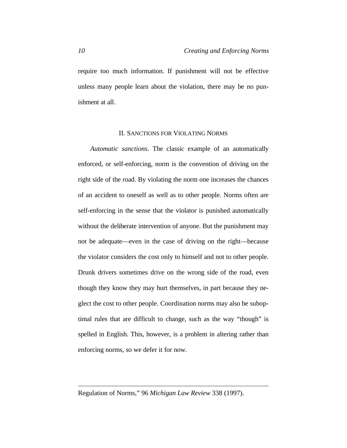require too much information. If punishment will not be effective unless many people learn about the violation, there may be no punishment at all.

#### II. SANCTIONS FOR VIOLATING NORMS

*Automatic sanctions*. The classic example of an automatically enforced, or self-enforcing, norm is the convention of driving on the right side of the road. By violating the norm one increases the chances of an accident to oneself as well as to other people. Norms often are self-enforcing in the sense that the violator is punished automatically without the deliberate intervention of anyone. But the punishment may not be adequate—even in the case of driving on the right—because the violator considers the cost only to himself and not to other people. Drunk drivers sometimes drive on the wrong side of the road, even though they know they may hurt themselves, in part because they neglect the cost to other people. Coordination norms may also be suboptimal rules that are difficult to change, such as the way "though" is spelled in English. This, however, is a problem in altering rather than enforcing norms, so we defer it for now.

Regulation of Norms," 96 *Michigan Law Review* 338 (1997).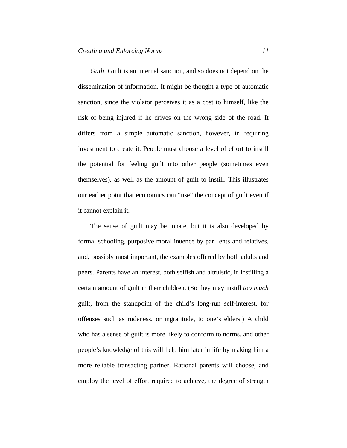*Guilt.* Guilt is an internal sanction, and so does not depend on the dissemination of information. It might be thought a type of automatic sanction, since the violator perceives it as a cost to himself, like the risk of being injured if he drives on the wrong side of the road. It differs from a simple automatic sanction, however, in requiring investment to create it. People must choose a level of effort to instill the potential for feeling guilt into other people (sometimes even themselves), as well as the amount of guilt to instill. This illustrates our earlier point that economics can "use" the concept of guilt even if it cannot explain it.

The sense of guilt may be innate, but it is also developed by formal schooling, purposive moral inuence by par ents and relatives, and, possibly most important, the examples offered by both adults and peers. Parents have an interest, both selfish and altruistic, in instilling a certain amount of guilt in their children. (So they may instill *too much* guilt, from the standpoint of the child's long-run self-interest, for offenses such as rudeness, or ingratitude, to one's elders.) A child who has a sense of guilt is more likely to conform to norms, and other people's knowledge of this will help him later in life by making him a more reliable transacting partner. Rational parents will choose, and employ the level of effort required to achieve, the degree of strength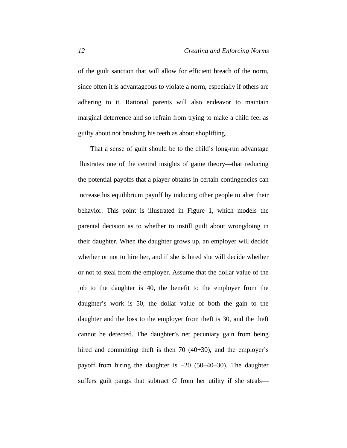of the guilt sanction that will allow for efficient breach of the norm, since often it is advantageous to violate a norm, especially if others are adhering to it. Rational parents will also endeavor to maintain marginal deterrence and so refrain from trying to make a child feel as guilty about not brushing his teeth as about shoplifting.

That a sense of guilt should be to the child's long-run advantage illustrates one of the central insights of game theory—that reducing the potential payoffs that a player obtains in certain contingencies can increase his equilibrium payoff by inducing other people to alter their behavior. This point is illustrated in Figure 1, which models the parental decision as to whether to instill guilt about wrongdoing in their daughter. When the daughter grows up, an employer will decide whether or not to hire her, and if she is hired she will decide whether or not to steal from the employer. Assume that the dollar value of the job to the daughter is 40, the benefit to the employer from the daughter's work is 50, the dollar value of both the gain to the daughter and the loss to the employer from theft is 30, and the theft cannot be detected. The daughter's net pecuniary gain from being hired and committing theft is then 70 (40+30), and the employer's payoff from hiring the daughter is –20 (50–40–30). The daughter suffers guilt pangs that subtract *G* from her utility if she steals—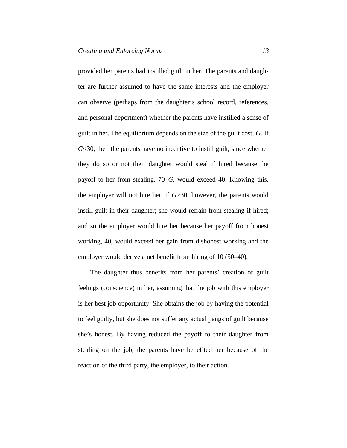provided her parents had instilled guilt in her. The parents and daughter are further assumed to have the same interests and the employer can observe (perhaps from the daughter's school record, references, and personal deportment) whether the parents have instilled a sense of guilt in her. The equilibrium depends on the size of the guilt cost, *G*. If *G*<30, then the parents have no incentive to instill guilt, since whether they do so or not their daughter would steal if hired because the payoff to her from stealing, 70–*G*, would exceed 40. Knowing this, the employer will not hire her. If *G*>30, however, the parents would instill guilt in their daughter; she would refrain from stealing if hired; and so the employer would hire her because her payoff from honest working, 40, would exceed her gain from dishonest working and the employer would derive a net benefit from hiring of 10 (50–40).

The daughter thus benefits from her parents' creation of guilt feelings (conscience) in her, assuming that the job with this employer is her best job opportunity. She obtains the job by having the potential to feel guilty, but she does not suffer any actual pangs of guilt because she's honest. By having reduced the payoff to their daughter from stealing on the job, the parents have benefited her because of the reaction of the third party, the employer, to their action.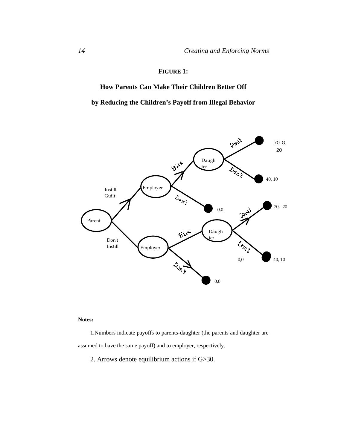# **FIGURE 1:**

**How Parents Can Make Their Children Better Off**

**by Reducing the Children's Payoff from Illegal Behavior**



#### **Notes:**

1.Numbers indicate payoffs to parents-daughter (the parents and daughter are assumed to have the same payoff) and to employer, respectively.

2. Arrows denote equilibrium actions if G>30.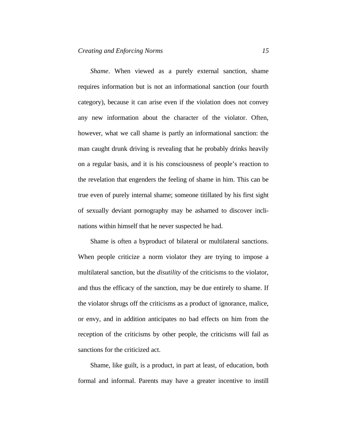*Shame*. When viewed as a purely external sanction, shame requires information but is not an informational sanction (our fourth category), because it can arise even if the violation does not convey any new information about the character of the violator. Often, however, what we call shame is partly an informational sanction: the man caught drunk driving is revealing that he probably drinks heavily on a regular basis, and it is his consciousness of people's reaction to the revelation that engenders the feeling of shame in him. This can be true even of purely internal shame; someone titillated by his first sight of sexually deviant pornography may be ashamed to discover inclinations within himself that he never suspected he had.

Shame is often a byproduct of bilateral or multilateral sanctions. When people criticize a norm violator they are trying to impose a multilateral sanction, but the *disutility* of the criticisms to the violator, and thus the efficacy of the sanction, may be due entirely to shame. If the violator shrugs off the criticisms as a product of ignorance, malice, or envy, and in addition anticipates no bad effects on him from the reception of the criticisms by other people, the criticisms will fail as sanctions for the criticized act.

Shame, like guilt, is a product, in part at least, of education, both formal and informal. Parents may have a greater incentive to instill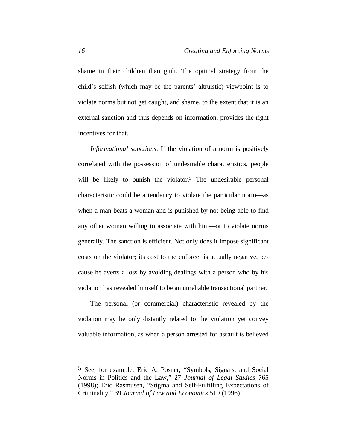shame in their children than guilt. The optimal strategy from the child's selfish (which may be the parents' altruistic) viewpoint is to violate norms but not get caught, and shame, to the extent that it is an external sanction and thus depends on information, provides the right incentives for that.

*Informational sanctions*. If the violation of a norm is positively correlated with the possession of undesirable characteristics, people will be likely to punish the violator.<sup>5</sup> The undesirable personal characteristic could be a tendency to violate the particular norm—as when a man beats a woman and is punished by not being able to find any other woman willing to associate with him—or to violate norms generally. The sanction is efficient. Not only does it impose significant costs on the violator; its cost to the enforcer is actually negative, because he averts a loss by avoiding dealings with a person who by his violation has revealed himself to be an unreliable transactional partner.

The personal (or commercial) characteristic revealed by the violation may be only distantly related to the violation yet convey valuable information, as when a person arrested for assault is believed

<sup>5</sup> See, for example, Eric A. Posner, "Symbols, Signals, and Social Norms in Politics and the Law," 27 *Journal of Legal Studies* 765 (1998); Eric Rasmusen, "Stigma and Self-Fulfilling Expectations of Criminality," 39 *Journal of Law and Economics* 519 (1996).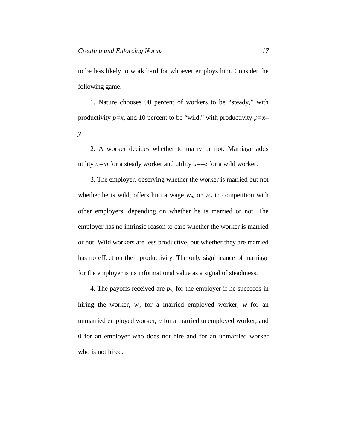to be less likely to work hard for whoever employs him. Consider the following game:

1. Nature chooses 90 percent of workers to be "steady," with productivity *p=x*, and 10 percent to be "wild," with productivity *p=x– y*.

2. A worker decides whether to marry or not. Marriage adds utility  $u=m$  for a steady worker and utility  $u=-z$  for a wild worker.

3. The employer, observing whether the worker is married but not whether he is wild, offers him a wage  $w_m$  or  $w_u$  in competition with other employers, depending on whether he is married or not. The employer has no intrinsic reason to care whether the worker is married or not. Wild workers are less productive, but whether they are married has no effect on their productivity. The only significance of marriage for the employer is its informational value as a signal of steadiness.

4. The payoffs received are  $p_w$  for the employer if he succeeds in hiring the worker, *wu* for a married employed worker, *w* for an unmarried employed worker, *u* for a married unemployed worker, and 0 for an employer who does not hire and for an unmarried worker who is not hired.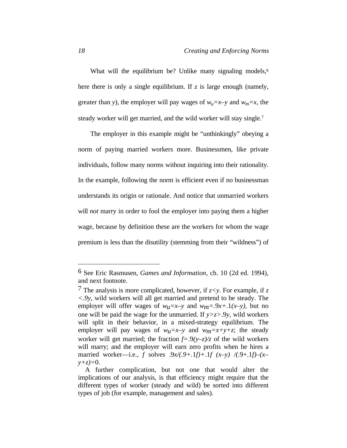What will the equilibrium be? Unlike many signaling models,<sup>6</sup> here there is only a single equilibrium. If *z* is large enough (namely, greater than *y*), the employer will pay wages of  $w_u = x-y$  and  $w_m = x$ , the steady worker will get married, and the wild worker will stay single.<sup>7</sup>

The employer in this example might be "unthinkingly" obeying a norm of paying married workers more. Businessmen, like private individuals, follow many norms without inquiring into their rationality. In the example, following the norm is efficient even if no businessman understands its origin or rationale. And notice that unmarried workers will *not* marry in order to fool the employer into paying them a higher wage, because by definition these are the workers for whom the wage premium is less than the disutility (stemming from their "wildness") of

<sup>6</sup> See Eric Rasmusen, *Games and Information*, ch. 10 (2d ed. 1994), and next footnote.

<sup>7</sup> The analysis is more complicated, however, if *z<y*. For example, if *z <.9y*, wild workers will all get married and pretend to be steady. The employer will offer wages of  $w_u = x-y$  and  $w_m = 0.9x + 0.1(x-y)$ , but no one will be paid the wage for the unmarried. If *y>z>*.9*y*, wild workers will split in their behavior, in a mixed-strategy equilibrium. The employer will pay wages of  $w_u = x-y$  and  $w_m = x+y+z$ ; the steady worker will get married; the fraction  $f=.\frac{9(\gamma-\overline{\zeta})}{\overline{\zeta}}$  of the wild workers will marry; and the employer will earn zero profits when he hires a married worker—i.e., *f* solves .9*x/(.9+.*1*f)+*.1*f (x–y) /(*.9+.1*f)–(x– y+z)=*0.

A further complication, but not one that would alter the implications of our analysis, is that efficiency might require that the different types of worker (steady and wild) be sorted into different types of job (for example, management and sales).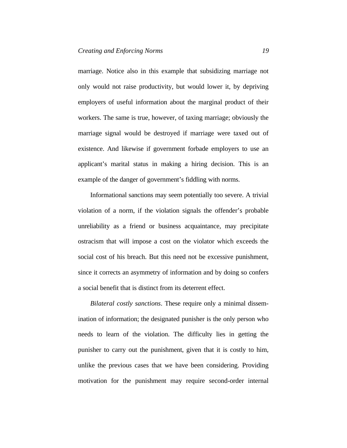marriage. Notice also in this example that subsidizing marriage not only would not raise productivity, but would lower it, by depriving employers of useful information about the marginal product of their workers. The same is true, however, of taxing marriage; obviously the marriage signal would be destroyed if marriage were taxed out of existence. And likewise if government forbade employers to use an applicant's marital status in making a hiring decision. This is an example of the danger of government's fiddling with norms.

Informational sanctions may seem potentially too severe. A trivial violation of a norm, if the violation signals the offender's probable unreliability as a friend or business acquaintance, may precipitate ostracism that will impose a cost on the violator which exceeds the social cost of his breach. But this need not be excessive punishment, since it corrects an asymmetry of information and by doing so confers a social benefit that is distinct from its deterrent effect.

*Bilateral costly sanctions*. These require only a minimal dissemination of information; the designated punisher is the only person who needs to learn of the violation. The difficulty lies in getting the punisher to carry out the punishment, given that it is costly to him, unlike the previous cases that we have been considering. Providing motivation for the punishment may require second-order internal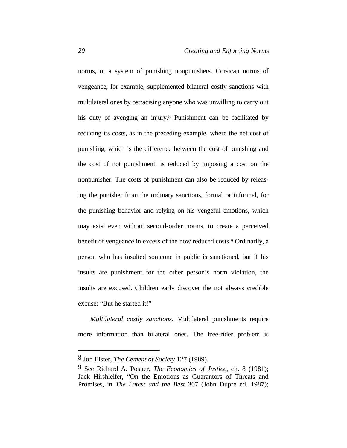norms, or a system of punishing nonpunishers. Corsican norms of vengeance, for example, supplemented bilateral costly sanctions with multilateral ones by ostracising anyone who was unwilling to carry out his duty of avenging an injury.<sup>8</sup> Punishment can be facilitated by reducing its costs, as in the preceding example, where the net cost of punishing, which is the difference between the cost of punishing and the cost of not punishment, is reduced by imposing a cost on the nonpunisher. The costs of punishment can also be reduced by releasing the punisher from the ordinary sanctions, formal or informal, for the punishing behavior and relying on his vengeful emotions, which may exist even without second-order norms, to create a perceived benefit of vengeance in excess of the now reduced costs.<sup>9</sup> Ordinarily, a person who has insulted someone in public is sanctioned, but if his insults are punishment for the other person's norm violation, the insults are excused. Children early discover the not always credible excuse: "But he started it!"

*Multilateral costly sanctions*. Multilateral punishments require more information than bilateral ones. The free-rider problem is

<sup>8</sup> Jon Elster, *The Cement of Society* 127 (1989).

<sup>9</sup> See Richard A. Posner, *The Economics of Justice*, ch. 8 (1981); Jack Hirshleifer, "On the Emotions as Guarantors of Threats and Promises, in *The Latest and the Best* 307 (John Dupre ed. 1987);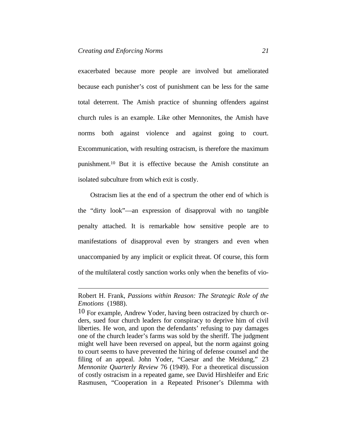$\overline{a}$ 

exacerbated because more people are involved but ameliorated because each punisher's cost of punishment can be less for the same total deterrent. The Amish practice of shunning offenders against church rules is an example. Like other Mennonites, the Amish have norms both against violence and against going to court. Excommunication, with resulting ostracism, is therefore the maximum punishment.10 But it is effective because the Amish constitute an isolated subculture from which exit is costly.

Ostracism lies at the end of a spectrum the other end of which is the "dirty look"—an expression of disapproval with no tangible penalty attached. It is remarkable how sensitive people are to manifestations of disapproval even by strangers and even when unaccompanied by any implicit or explicit threat. Of course, this form of the multilateral costly sanction works only when the benefits of vio-

Robert H. Frank, *Passions within Reason: The Strategic Role of the Emotions* (1988).

<sup>10</sup> For example, Andrew Yoder, having been ostracized by church orders, sued four church leaders for conspiracy to deprive him of civil liberties. He won, and upon the defendants' refusing to pay damages one of the church leader's farms was sold by the sheriff. The judgment might well have been reversed on appeal, but the norm against going to court seems to have prevented the hiring of defense counsel and the filing of an appeal. John Yoder, "Caesar and the Meidung," 23 *Mennonite Quarterly Review* 76 (1949). For a theoretical discussion of costly ostracism in a repeated game, see David Hirshleifer and Eric Rasmusen, "Cooperation in a Repeated Prisoner's Dilemma with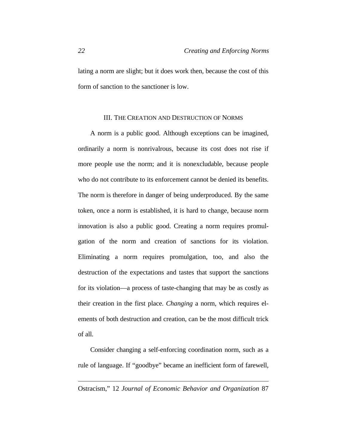lating a norm are slight; but it does work then, because the cost of this form of sanction to the sanctioner is low.

# III. THE CREATION AND DESTRUCTION OF NORMS

A norm is a public good. Although exceptions can be imagined, ordinarily a norm is nonrivalrous, because its cost does not rise if more people use the norm; and it is nonexcludable, because people who do not contribute to its enforcement cannot be denied its benefits. The norm is therefore in danger of being underproduced. By the same token, once a norm is established, it is hard to change, because norm innovation is also a public good. Creating a norm requires promulgation of the norm and creation of sanctions for its violation. Eliminating a norm requires promulgation, too, and also the destruction of the expectations and tastes that support the sanctions for its violation—a process of taste-changing that may be as costly as their creation in the first place. *Changing* a norm, which requires elements of both destruction and creation, can be the most difficult trick of all.

Consider changing a self-enforcing coordination norm, such as a rule of language. If "goodbye" became an inefficient form of farewell,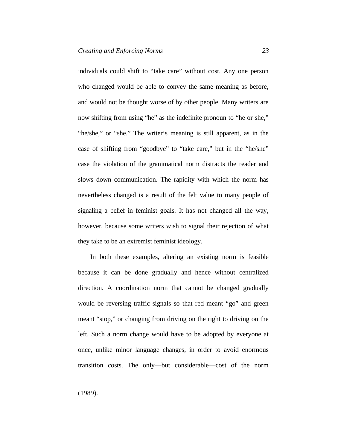individuals could shift to "take care" without cost. Any one person who changed would be able to convey the same meaning as before, and would not be thought worse of by other people. Many writers are now shifting from using "he" as the indefinite pronoun to "he or she," "he/she," or "she." The writer's meaning is still apparent, as in the case of shifting from "goodbye" to "take care," but in the "he/she" case the violation of the grammatical norm distracts the reader and slows down communication. The rapidity with which the norm has nevertheless changed is a result of the felt value to many people of signaling a belief in feminist goals. It has not changed all the way, however, because some writers wish to signal their rejection of what they take to be an extremist feminist ideology.

In both these examples, altering an existing norm is feasible because it can be done gradually and hence without centralized direction. A coordination norm that cannot be changed gradually would be reversing traffic signals so that red meant "go" and green meant "stop," or changing from driving on the right to driving on the left. Such a norm change would have to be adopted by everyone at once, unlike minor language changes, in order to avoid enormous transition costs. The only—but considerable—cost of the norm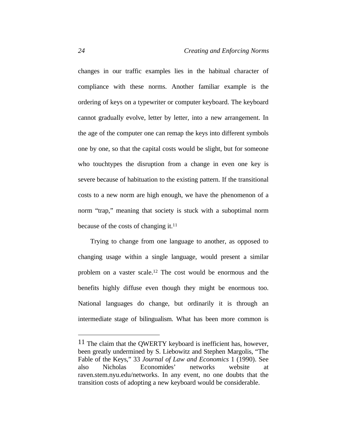changes in our traffic examples lies in the habitual character of compliance with these norms. Another familiar example is the ordering of keys on a typewriter or computer keyboard. The keyboard cannot gradually evolve, letter by letter, into a new arrangement. In the age of the computer one can remap the keys into different symbols one by one, so that the capital costs would be slight, but for someone who touchtypes the disruption from a change in even one key is severe because of habituation to the existing pattern. If the transitional costs to a new norm are high enough, we have the phenomenon of a norm "trap," meaning that society is stuck with a suboptimal norm because of the costs of changing it.<sup>11</sup>

Trying to change from one language to another, as opposed to changing usage within a single language, would present a similar problem on a vaster scale.12 The cost would be enormous and the benefits highly diffuse even though they might be enormous too. National languages do change, but ordinarily it is through an intermediate stage of bilingualism. What has been more common is

<sup>&</sup>lt;sup>11</sup> The claim that the QWERTY keyboard is inefficient has, however, been greatly undermined by S. Liebowitz and Stephen Margolis, "The Fable of the Keys," 33 *Journal of Law and Economics* 1 (1990). See also Nicholas Economides' networks website at raven.stem.nyu.edu/networks. In any event, no one doubts that the transition costs of adopting a new keyboard would be considerable.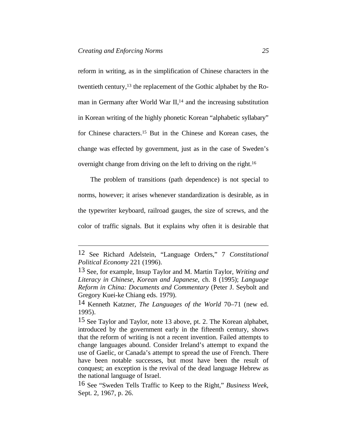$\overline{a}$ 

reform in writing, as in the simplification of Chinese characters in the twentieth century,13 the replacement of the Gothic alphabet by the Roman in Germany after World War II,<sup>14</sup> and the increasing substitution in Korean writing of the highly phonetic Korean "alphabetic syllabary" for Chinese characters.15 But in the Chinese and Korean cases, the change was effected by government, just as in the case of Sweden's overnight change from driving on the left to driving on the right.<sup>16</sup>

The problem of transitions (path dependence) is not special to norms, however; it arises whenever standardization is desirable, as in the typewriter keyboard, railroad gauges, the size of screws, and the color of traffic signals. But it explains why often it is desirable that

<sup>12</sup> See Richard Adelstein, "Language Orders," 7 *Constitutional Political Economy* 221 (1996).

<sup>13</sup> See, for example, Insup Taylor and M. Martin Taylor, *Writing and Literacy in Chinese, Korean and Japanese*, ch. 8 (1995); *Language Reform in China: Documents and Commentary* (Peter J. Seybolt and Gregory Kuei-ke Chiang eds. 1979).

<sup>14</sup> Kenneth Katzner, *The Languages of the World* 70–71 (new ed. 1995).

<sup>15</sup> See Taylor and Taylor, note 13 above, pt. 2. The Korean alphabet, introduced by the government early in the fifteenth century, shows that the reform of writing is not a recent invention. Failed attempts to change languages abound. Consider Ireland's attempt to expand the use of Gaelic, or Canada's attempt to spread the use of French. There have been notable successes, but most have been the result of conquest; an exception is the revival of the dead language Hebrew as the national language of Israel.

<sup>16</sup> See "Sweden Tells Traffic to Keep to the Right," *Business Week*, Sept. 2, 1967, p. 26.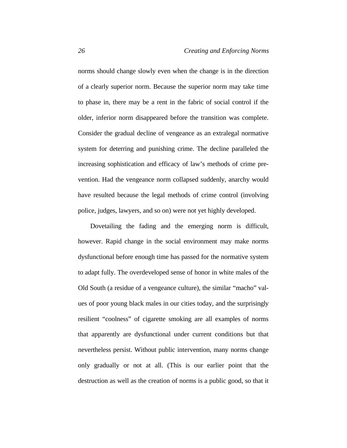norms should change slowly even when the change is in the direction of a clearly superior norm. Because the superior norm may take time to phase in, there may be a rent in the fabric of social control if the older, inferior norm disappeared before the transition was complete. Consider the gradual decline of vengeance as an extralegal normative system for deterring and punishing crime. The decline paralleled the increasing sophistication and efficacy of law's methods of crime prevention. Had the vengeance norm collapsed suddenly, anarchy would have resulted because the legal methods of crime control (involving police, judges, lawyers, and so on) were not yet highly developed.

Dovetailing the fading and the emerging norm is difficult, however. Rapid change in the social environment may make norms dysfunctional before enough time has passed for the normative system to adapt fully. The overdeveloped sense of honor in white males of the Old South (a residue of a vengeance culture), the similar "macho" values of poor young black males in our cities today, and the surprisingly resilient "coolness" of cigarette smoking are all examples of norms that apparently are dysfunctional under current conditions but that nevertheless persist. Without public intervention, many norms change only gradually or not at all. (This is our earlier point that the destruction as well as the creation of norms is a public good, so that it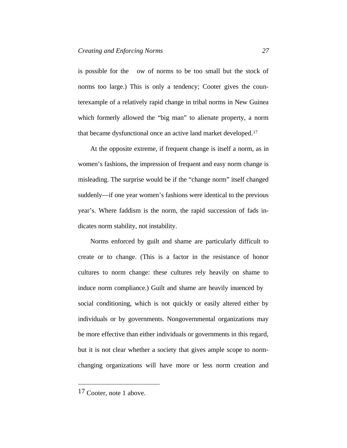is possible for the ow of norms to be too small but the stock of norms too large.) This is only a tendency; Cooter gives the counterexample of a relatively rapid change in tribal norms in New Guinea which formerly allowed the "big man" to alienate property, a norm that became dysfunctional once an active land market developed.<sup>17</sup>

At the opposite extreme, if frequent change is itself a norm, as in women's fashions, the impression of frequent and easy norm change is misleading. The surprise would be if the "change norm" itself changed suddenly—if one year women's fashions were identical to the previous year's. Where faddism is the norm, the rapid succession of fads indicates norm stability, not instability.

Norms enforced by guilt and shame are particularly difficult to create or to change. (This is a factor in the resistance of honor cultures to norm change: these cultures rely heavily on shame to induce norm compliance.) Guilt and shame are heavily in uenced by social conditioning, which is not quickly or easily altered either by individuals or by governments. Nongovernmental organizations may be more effective than either individuals or governments in this regard, but it is not clear whether a society that gives ample scope to normchanging organizations will have more or less norm creation and

<sup>17</sup> Cooter, note 1 above.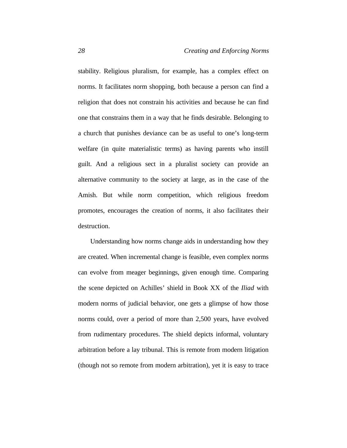stability. Religious pluralism, for example, has a complex effect on norms. It facilitates norm shopping, both because a person can find a religion that does not constrain his activities and because he can find one that constrains them in a way that he finds desirable. Belonging to a church that punishes deviance can be as useful to one's long-term welfare (in quite materialistic terms) as having parents who instill guilt. And a religious sect in a pluralist society can provide an alternative community to the society at large, as in the case of the Amish. But while norm competition, which religious freedom promotes, encourages the creation of norms, it also facilitates their destruction.

Understanding how norms change aids in understanding how they are created. When incremental change is feasible, even complex norms can evolve from meager beginnings, given enough time. Comparing the scene depicted on Achilles' shield in Book XX of the *Iliad* with modern norms of judicial behavior, one gets a glimpse of how those norms could, over a period of more than 2,500 years, have evolved from rudimentary procedures. The shield depicts informal, voluntary arbitration before a lay tribunal. This is remote from modern litigation (though not so remote from modern arbitration), yet it is easy to trace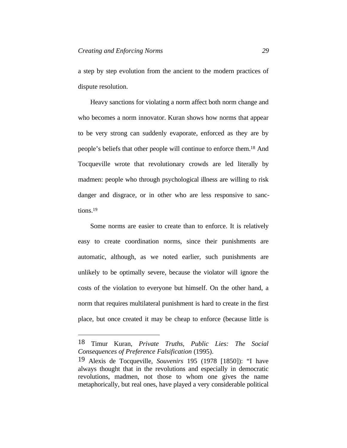a step by step evolution from the ancient to the modern practices of dispute resolution.

Heavy sanctions for violating a norm affect both norm change and who becomes a norm innovator. Kuran shows how norms that appear to be very strong can suddenly evaporate, enforced as they are by people's beliefs that other people will continue to enforce them.18 And Tocqueville wrote that revolutionary crowds are led literally by madmen: people who through psychological illness are willing to risk danger and disgrace, or in other who are less responsive to sanctions.<sup>19</sup>

Some norms are easier to create than to enforce. It is relatively easy to create coordination norms, since their punishments are automatic, although, as we noted earlier, such punishments are unlikely to be optimally severe, because the violator will ignore the costs of the violation to everyone but himself. On the other hand, a norm that requires multilateral punishment is hard to create in the first place, but once created it may be cheap to enforce (because little is

<sup>18</sup> Timur Kuran, *Private Truths, Public Lies: The Social Consequences of Preference Falsification* (1995).

<sup>19</sup> Alexis de Tocqueville, *Souvenirs* 195 (1978 [1850]): "I have always thought that in the revolutions and especially in democratic revolutions, madmen, not those to whom one gives the name metaphorically, but real ones, have played a very considerable political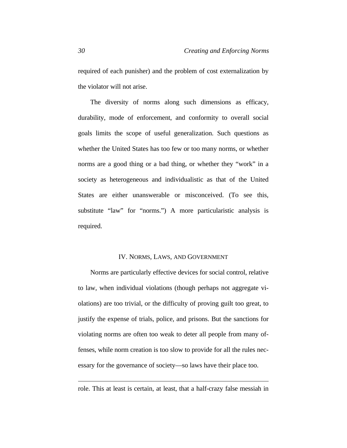required of each punisher) and the problem of cost externalization by the violator will not arise.

The diversity of norms along such dimensions as efficacy, durability, mode of enforcement, and conformity to overall social goals limits the scope of useful generalization. Such questions as whether the United States has too few or too many norms, or whether norms are a good thing or a bad thing, or whether they "work" in a society as heterogeneous and individualistic as that of the United States are either unanswerable or misconceived. (To see this, substitute "law" for "norms.") A more particularistic analysis is required.

#### IV. NORMS, LAWS, AND GOVERNMENT

Norms are particularly effective devices for social control, relative to law, when individual violations (though perhaps not aggregate violations) are too trivial, or the difficulty of proving guilt too great, to justify the expense of trials, police, and prisons. But the sanctions for violating norms are often too weak to deter all people from many offenses, while norm creation is too slow to provide for all the rules necessary for the governance of society—so laws have their place too.

role. This at least is certain, at least, that a half-crazy false messiah in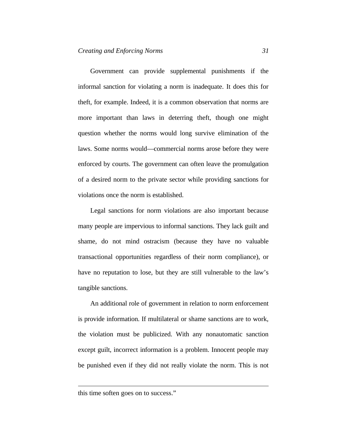Government can provide supplemental punishments if the informal sanction for violating a norm is inadequate. It does this for theft, for example. Indeed, it is a common observation that norms are more important than laws in deterring theft, though one might question whether the norms would long survive elimination of the laws. Some norms would—commercial norms arose before they were enforced by courts. The government can often leave the promulgation of a desired norm to the private sector while providing sanctions for violations once the norm is established.

Legal sanctions for norm violations are also important because many people are impervious to informal sanctions. They lack guilt and shame, do not mind ostracism (because they have no valuable transactional opportunities regardless of their norm compliance), or have no reputation to lose, but they are still vulnerable to the law's tangible sanctions.

An additional role of government in relation to norm enforcement is provide information. If multilateral or shame sanctions are to work, the violation must be publicized. With any nonautomatic sanction except guilt, incorrect information is a problem. Innocent people may be punished even if they did not really violate the norm. This is not

this time soften goes on to success."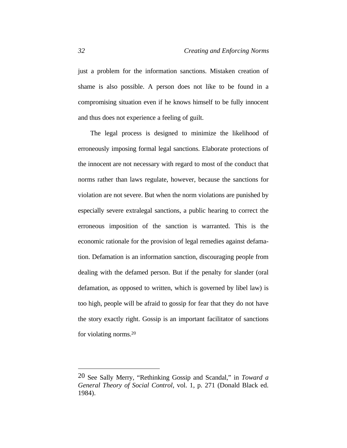just a problem for the information sanctions. Mistaken creation of shame is also possible. A person does not like to be found in a compromising situation even if he knows himself to be fully innocent and thus does not experience a feeling of guilt.

The legal process is designed to minimize the likelihood of erroneously imposing formal legal sanctions. Elaborate protections of the innocent are not necessary with regard to most of the conduct that norms rather than laws regulate, however, because the sanctions for violation are not severe. But when the norm violations are punished by especially severe extralegal sanctions, a public hearing to correct the erroneous imposition of the sanction is warranted. This is the economic rationale for the provision of legal remedies against defamation. Defamation is an information sanction, discouraging people from dealing with the defamed person. But if the penalty for slander (oral defamation, as opposed to written, which is governed by libel law) is too high, people will be afraid to gossip for fear that they do not have the story exactly right. Gossip is an important facilitator of sanctions for violating norms.<sup>20</sup>

<sup>20</sup> See Sally Merry, "Rethinking Gossip and Scandal," in *Toward a General Theory of Social Control*, vol. 1, p. 271 (Donald Black ed. 1984).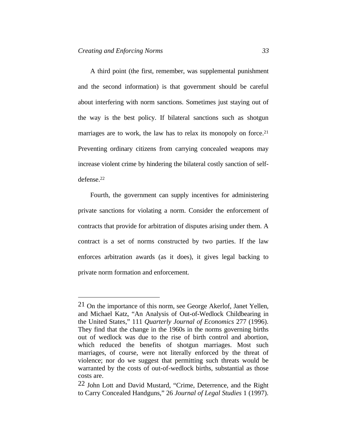$\overline{a}$ 

A third point (the first, remember, was supplemental punishment and the second information) is that government should be careful about interfering with norm sanctions. Sometimes just staying out of the way is the best policy. If bilateral sanctions such as shotgun marriages are to work, the law has to relax its monopoly on force.<sup>21</sup> Preventing ordinary citizens from carrying concealed weapons may increase violent crime by hindering the bilateral costly sanction of selfdefense.<sup>22</sup>

Fourth, the government can supply incentives for administering private sanctions for violating a norm. Consider the enforcement of contracts that provide for arbitration of disputes arising under them. A contract is a set of norms constructed by two parties. If the law enforces arbitration awards (as it does), it gives legal backing to private norm formation and enforcement.

<sup>21</sup> On the importance of this norm, see George Akerlof, Janet Yellen, and Michael Katz, "An Analysis of Out-of-Wedlock Childbearing in the United States," 111 *Quarterly Journal of Economics* 277 (1996). They find that the change in the 1960s in the norms governing births out of wedlock was due to the rise of birth control and abortion, which reduced the benefits of shotgun marriages. Most such marriages, of course, were not literally enforced by the threat of violence; nor do we suggest that permitting such threats would be warranted by the costs of out-of-wedlock births, substantial as those costs are.

<sup>22</sup> John Lott and David Mustard, "Crime, Deterrence, and the Right to Carry Concealed Handguns," 26 *Journal of Legal Studies* 1 (1997).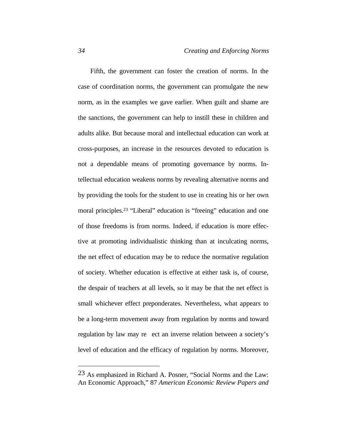Fifth, the government can foster the creation of norms. In the case of coordination norms, the government can promulgate the new norm, as in the examples we gave earlier. When guilt and shame are the sanctions, the government can help to instill these in children and adults alike. But because moral and intellectual education can work at cross-purposes, an increase in the resources devoted to education is not a dependable means of promoting governance by norms. Intellectual education weakens norms by revealing alternative norms and by providing the tools for the student to use in creating his or her own moral principles.23 "Liberal" education is "freeing" education and one of those freedoms is from norms. Indeed, if education is more effective at promoting individualistic thinking than at inculcating norms, the net effect of education may be to reduce the normative regulation of society. Whether education is effective at either task is, of course, the despair of teachers at all levels, so it may be that the net effect is small whichever effect preponderates. Nevertheless, what appears to be a long-term movement away from regulation by norms and toward regulation by law may re ect an inverse relation between a society's level of education and the efficacy of regulation by norms. Moreover,

<sup>23</sup> As emphasized in Richard A. Posner, "Social Norms and the Law: An Economic Approach," 87 *American Economic Review Papers and*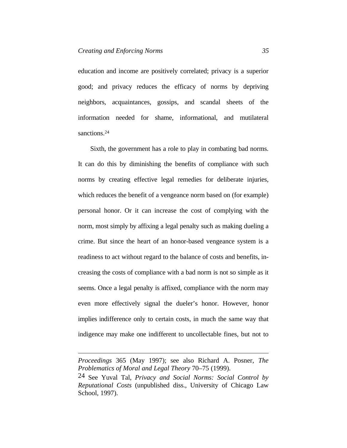education and income are positively correlated; privacy is a superior good; and privacy reduces the efficacy of norms by depriving neighbors, acquaintances, gossips, and scandal sheets of the information needed for shame, informational, and mutilateral sanctions.<sup>24</sup>

Sixth, the government has a role to play in combating bad norms. It can do this by diminishing the benefits of compliance with such norms by creating effective legal remedies for deliberate injuries, which reduces the benefit of a vengeance norm based on (for example) personal honor. Or it can increase the cost of complying with the norm, most simply by affixing a legal penalty such as making dueling a crime. But since the heart of an honor-based vengeance system is a readiness to act without regard to the balance of costs and benefits, increasing the costs of compliance with a bad norm is not so simple as it seems. Once a legal penalty is affixed, compliance with the norm may even more effectively signal the dueler's honor. However, honor implies indifference only to certain costs, in much the same way that indigence may make one indifferent to uncollectable fines, but not to

*Proceedings* 365 (May 1997); see also Richard A. Posner, *The Problematics of Moral and Legal Theory* 70–75 (1999).

<sup>24</sup> See Yuval Tal, *Privacy and Social Norms: Social Control by Reputational Costs* (unpublished diss., University of Chicago Law School, 1997).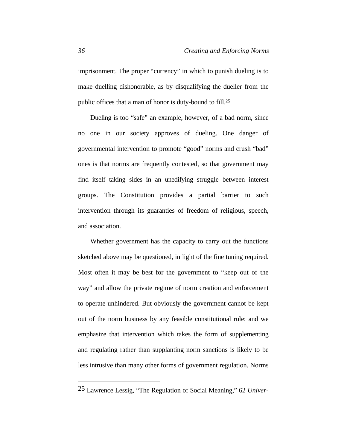imprisonment. The proper "currency" in which to punish dueling is to make duelling dishonorable, as by disqualifying the dueller from the public offices that a man of honor is duty-bound to fill.<sup>25</sup>

Dueling is too "safe" an example, however, of a bad norm, since no one in our society approves of dueling. One danger of governmental intervention to promote "good" norms and crush "bad" ones is that norms are frequently contested, so that government may find itself taking sides in an unedifying struggle between interest groups. The Constitution provides a partial barrier to such intervention through its guaranties of freedom of religious, speech, and association.

Whether government has the capacity to carry out the functions sketched above may be questioned, in light of the fine tuning required. Most often it may be best for the government to "keep out of the way" and allow the private regime of norm creation and enforcement to operate unhindered. But obviously the government cannot be kept out of the norm business by any feasible constitutional rule; and we emphasize that intervention which takes the form of supplementing and regulating rather than supplanting norm sanctions is likely to be less intrusive than many other forms of government regulation. Norms

<sup>25</sup> Lawrence Lessig, "The Regulation of Social Meaning," 62 *Univer-*